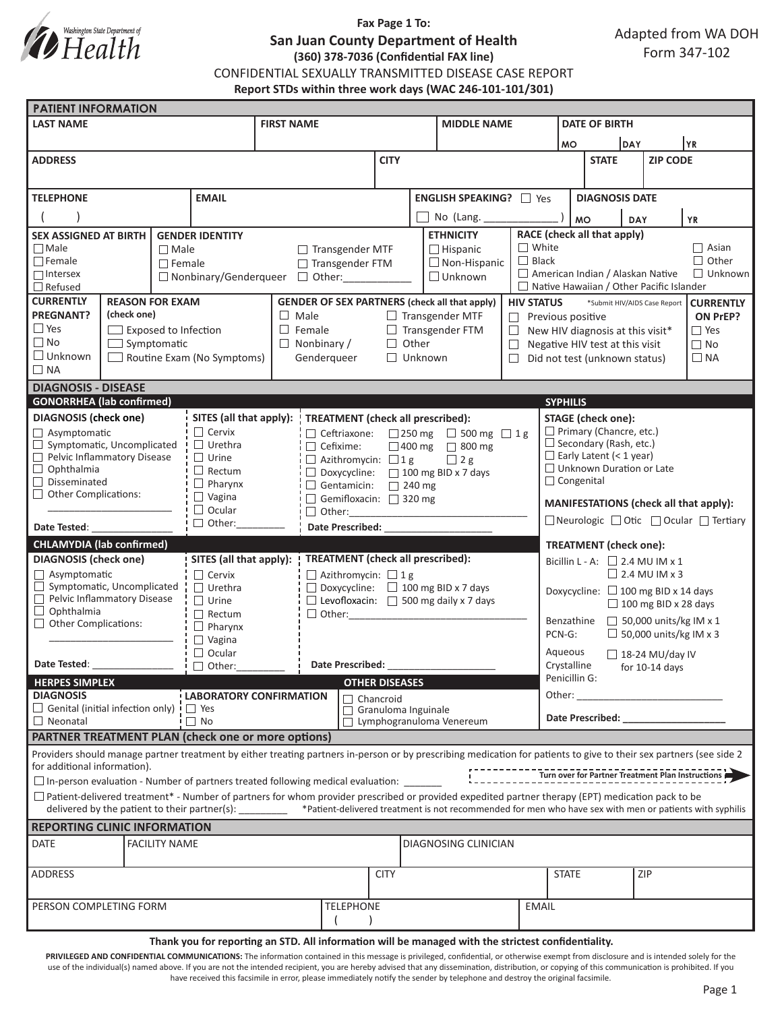

## **Fax Page 1 To: San Juan County Department of Health (360) 378-7036 (Confidential FAX line)** CONFIDENTIAL SEXUALLY TRANSMITTED DISEASE CASE REPORT **Report STDs within three work days (WAC 246-101-101/301)**

| <b>PATIENT INFORMATION</b>                                                        |                                                                                                                                                                                                                                  |                                                                           |                                                        |                                                                                        |                                            |  |                              |                                                                                                                                                         |                                                                 |                                                                                                                                                                                                                                |                                      |                              |                |                                                   |  |
|-----------------------------------------------------------------------------------|----------------------------------------------------------------------------------------------------------------------------------------------------------------------------------------------------------------------------------|---------------------------------------------------------------------------|--------------------------------------------------------|----------------------------------------------------------------------------------------|--------------------------------------------|--|------------------------------|---------------------------------------------------------------------------------------------------------------------------------------------------------|-----------------------------------------------------------------|--------------------------------------------------------------------------------------------------------------------------------------------------------------------------------------------------------------------------------|--------------------------------------|------------------------------|----------------|---------------------------------------------------|--|
| <b>LAST NAME</b>                                                                  |                                                                                                                                                                                                                                  |                                                                           |                                                        | <b>FIRST NAME</b>                                                                      |                                            |  |                              | <b>MIDDLE NAME</b>                                                                                                                                      |                                                                 |                                                                                                                                                                                                                                | <b>DATE OF BIRTH</b>                 |                              |                |                                                   |  |
|                                                                                   |                                                                                                                                                                                                                                  |                                                                           |                                                        |                                                                                        |                                            |  |                              | <b>MO</b>                                                                                                                                               | <b>DAY</b><br>YR.                                               |                                                                                                                                                                                                                                |                                      |                              |                |                                                   |  |
| <b>ADDRESS</b>                                                                    |                                                                                                                                                                                                                                  |                                                                           |                                                        |                                                                                        | <b>CITY</b>                                |  |                              |                                                                                                                                                         |                                                                 | <b>STATE</b>                                                                                                                                                                                                                   |                                      | <b>ZIP CODE</b>              |                |                                                   |  |
|                                                                                   |                                                                                                                                                                                                                                  |                                                                           |                                                        |                                                                                        |                                            |  |                              |                                                                                                                                                         |                                                                 |                                                                                                                                                                                                                                |                                      |                              |                |                                                   |  |
| <b>EMAIL</b><br><b>TELEPHONE</b>                                                  |                                                                                                                                                                                                                                  |                                                                           |                                                        |                                                                                        |                                            |  |                              | <b>ENGLISH SPEAKING?</b> □ Yes                                                                                                                          |                                                                 |                                                                                                                                                                                                                                | <b>DIAGNOSIS DATE</b>                |                              |                |                                                   |  |
|                                                                                   |                                                                                                                                                                                                                                  |                                                                           |                                                        |                                                                                        |                                            |  |                              |                                                                                                                                                         |                                                                 |                                                                                                                                                                                                                                |                                      |                              |                |                                                   |  |
|                                                                                   |                                                                                                                                                                                                                                  |                                                                           |                                                        |                                                                                        |                                            |  | No (Lang.                    |                                                                                                                                                         |                                                                 | <b>MO</b>                                                                                                                                                                                                                      |                                      | <b>YR</b><br><b>DAY</b>      |                |                                                   |  |
| <b>SEX ASSIGNED AT BIRTH</b><br><b>GENDER IDENTITY</b>                            |                                                                                                                                                                                                                                  |                                                                           |                                                        |                                                                                        |                                            |  |                              | <b>ETHNICITY</b>                                                                                                                                        |                                                                 |                                                                                                                                                                                                                                | RACE (check all that apply)          |                              |                |                                                   |  |
| $\Box$ Male<br>$\Box$ Male<br>$\Box$ Female                                       |                                                                                                                                                                                                                                  |                                                                           |                                                        | $\Box$ Transgender MTF<br>$\Box$ Hispanic<br>$\Box$ Non-Hispanic<br>□ Transgender FTM  |                                            |  | $\Box$ White<br>$\Box$ Black |                                                                                                                                                         |                                                                 |                                                                                                                                                                                                                                |                                      | $\Box$ Asian<br>$\Box$ Other |                |                                                   |  |
| $\Box$ Female<br>$\Box$ Intersex                                                  |                                                                                                                                                                                                                                  |                                                                           |                                                        |                                                                                        | $\Box$ Nonbinary/Genderqueer $\Box$ Other: |  |                              | $\Box$ Unknown                                                                                                                                          | American Indian / Alaskan Native                                |                                                                                                                                                                                                                                |                                      |                              | $\Box$ Unknown |                                                   |  |
| $\Box$ Refused                                                                    |                                                                                                                                                                                                                                  |                                                                           |                                                        |                                                                                        |                                            |  |                              |                                                                                                                                                         |                                                                 | $\Box$ Native Hawaiian / Other Pacific Islander                                                                                                                                                                                |                                      |                              |                |                                                   |  |
| <b>CURRENTLY</b>                                                                  | <b>REASON FOR EXAM</b>                                                                                                                                                                                                           | <b>GENDER OF SEX PARTNERS (check all that apply)</b><br><b>HIV STATUS</b> |                                                        |                                                                                        |                                            |  |                              | *Submit HIV/AIDS Case Report<br><b>CURRENTLY</b>                                                                                                        |                                                                 |                                                                                                                                                                                                                                |                                      |                              |                |                                                   |  |
| <b>PREGNANT?</b><br>(check one)                                                   |                                                                                                                                                                                                                                  |                                                                           |                                                        |                                                                                        | $\Box$ Male<br>$\Box$ Transgender MTF      |  |                              |                                                                                                                                                         |                                                                 |                                                                                                                                                                                                                                | $\Box$ Previous positive<br>ON PrEP? |                              |                |                                                   |  |
| $\Box$ Yes                                                                        | $\Box$ Exposed to Infection                                                                                                                                                                                                      |                                                                           |                                                        | $\Box$ Female                                                                          |                                            |  | $\Box$ Transgender FTM       |                                                                                                                                                         |                                                                 | $\Box$ Yes<br>$\Box$ New HIV diagnosis at this visit*                                                                                                                                                                          |                                      |                              |                |                                                   |  |
| $\Box$ No<br>$\Box$ Symptomatic                                                   |                                                                                                                                                                                                                                  |                                                                           |                                                        |                                                                                        | $\Box$ Other<br>$\Box$ Nonbinary /         |  |                              | $\Box$                                                                                                                                                  | $\Box$ No<br>Negative HIV test at this visit                    |                                                                                                                                                                                                                                |                                      |                              |                |                                                   |  |
| $\Box$ Unknown<br>$\Box$ Routine Exam (No Symptoms)                               |                                                                                                                                                                                                                                  |                                                                           |                                                        | Genderqueer<br>$\Box$ Unknown                                                          |                                            |  | $\Box$                       | $\Box$ NA<br>Did not test (unknown status)                                                                                                              |                                                                 |                                                                                                                                                                                                                                |                                      |                              |                |                                                   |  |
| $\Box$ NA                                                                         |                                                                                                                                                                                                                                  |                                                                           |                                                        |                                                                                        |                                            |  |                              |                                                                                                                                                         |                                                                 |                                                                                                                                                                                                                                |                                      |                              |                |                                                   |  |
| <b>DIAGNOSIS - DISEASE</b>                                                        |                                                                                                                                                                                                                                  |                                                                           |                                                        |                                                                                        |                                            |  |                              |                                                                                                                                                         |                                                                 |                                                                                                                                                                                                                                |                                      |                              |                |                                                   |  |
| <b>GONORRHEA</b> (lab confirmed)                                                  |                                                                                                                                                                                                                                  |                                                                           |                                                        |                                                                                        |                                            |  |                              |                                                                                                                                                         |                                                                 | <b>SYPHILIS</b>                                                                                                                                                                                                                |                                      |                              |                |                                                   |  |
| <b>DIAGNOSIS</b> (check one)                                                      |                                                                                                                                                                                                                                  |                                                                           | SITES (all that apply):                                |                                                                                        | <b>TREATMENT</b> (check all prescribed):   |  |                              |                                                                                                                                                         |                                                                 | <b>STAGE</b> (check one):                                                                                                                                                                                                      |                                      |                              |                |                                                   |  |
| $\Box$ Asymptomatic<br>Symptomatic, Uncomplicated                                 |                                                                                                                                                                                                                                  |                                                                           | $\Box$ Cervix<br>$\Box$ Urethra                        | □ Ceftriaxone: □ 250 mg □ 500 mg □ 1 g                                                 |                                            |  |                              |                                                                                                                                                         | $\Box$ Primary (Chancre, etc.)<br>$\Box$ Secondary (Rash, etc.) |                                                                                                                                                                                                                                |                                      |                              |                |                                                   |  |
| Pelvic Inflammatory Disease                                                       |                                                                                                                                                                                                                                  |                                                                           | $\Box$ Urine                                           | $\Box$ Cefixime:<br>□ 400 mg □ 800 mg<br>$\Box$ Azithromycin: $\Box$ 1 g<br>$\Box$ 2 g |                                            |  |                              |                                                                                                                                                         |                                                                 | $\Box$ Early Latent (< 1 year)                                                                                                                                                                                                 |                                      |                              |                |                                                   |  |
| $\Box$ Ophthalmia                                                                 |                                                                                                                                                                                                                                  |                                                                           | $\Box$ Rectum                                          | $\Box$ Doxycycline: $\Box$ 100 mg BID x 7 days                                         |                                            |  |                              |                                                                                                                                                         | $\Box$ Unknown Duration or Late                                 |                                                                                                                                                                                                                                |                                      |                              |                |                                                   |  |
| □<br>Disseminated                                                                 |                                                                                                                                                                                                                                  |                                                                           | $\Box$ Pharynx                                         |                                                                                        | Gentamicin: 240 mg                         |  |                              |                                                                                                                                                         |                                                                 | $\Box$ Congenital                                                                                                                                                                                                              |                                      |                              |                |                                                   |  |
| Other Complications:                                                              |                                                                                                                                                                                                                                  |                                                                           | $\Box$ Vagina                                          | Gemifloxacin: 320 mg                                                                   |                                            |  |                              |                                                                                                                                                         | MANIFESTATIONS (check all that apply):                          |                                                                                                                                                                                                                                |                                      |                              |                |                                                   |  |
|                                                                                   |                                                                                                                                                                                                                                  |                                                                           | $\Box$ Ocular                                          |                                                                                        |                                            |  |                              |                                                                                                                                                         | □ Neurologic □ Otic □ Ocular □ Tertiary                         |                                                                                                                                                                                                                                |                                      |                              |                |                                                   |  |
| $\Box$ Other:<br>Date Tested: __________                                          |                                                                                                                                                                                                                                  |                                                                           |                                                        | Date Prescribed: National Prescribed:                                                  |                                            |  |                              |                                                                                                                                                         |                                                                 |                                                                                                                                                                                                                                |                                      |                              |                |                                                   |  |
| <b>CHLAMYDIA</b> (lab confirmed)<br><b>TREATMENT</b> (check one):                 |                                                                                                                                                                                                                                  |                                                                           |                                                        |                                                                                        |                                            |  |                              |                                                                                                                                                         |                                                                 |                                                                                                                                                                                                                                |                                      |                              |                |                                                   |  |
| <b>DIAGNOSIS</b> (check one)                                                      |                                                                                                                                                                                                                                  |                                                                           | SITES (all that apply):                                | <b>TREATMENT</b> (check all prescribed):                                               |                                            |  |                              |                                                                                                                                                         | Bicillin L - A: $\Box$ 2.4 MU IM x 1                            |                                                                                                                                                                                                                                |                                      |                              |                |                                                   |  |
| $\Box$ Asymptomatic                                                               |                                                                                                                                                                                                                                  |                                                                           | $\Box$ Cervix                                          |                                                                                        | $\Box$ Azithromycin: $\Box$ 1 g            |  |                              |                                                                                                                                                         |                                                                 | $\Box$ 2.4 MU IM x 3                                                                                                                                                                                                           |                                      |                              |                |                                                   |  |
| $\Box$ Symptomatic, Uncomplicated<br>Pelvic Inflammatory Disease                  |                                                                                                                                                                                                                                  | $\Box$ Urethra                                                            |                                                        | $\Box$ Doxycycline: $\Box$ 100 mg BID x 7 days                                         |                                            |  |                              |                                                                                                                                                         | Doxycycline: □ 100 mg BID x 14 days                             |                                                                                                                                                                                                                                |                                      |                              |                |                                                   |  |
| $\Box$ Ophthalmia                                                                 | $\Box$ Urine<br>$\Box$ Rectum                                                                                                                                                                                                    |                                                                           |                                                        | $\Box$ Levofloxacin: $\Box$ 500 mg daily x 7 days                                      |                                            |  |                              |                                                                                                                                                         |                                                                 |                                                                                                                                                                                                                                |                                      | $\Box$ 100 mg BID x 28 days  |                |                                                   |  |
| $\Box$ Other Complications:                                                       |                                                                                                                                                                                                                                  |                                                                           | $\Box$ Pharynx                                         |                                                                                        | $\Box$ Other:                              |  |                              |                                                                                                                                                         | $\Box$ 50,000 units/kg IM x 1<br>Benzathine                     |                                                                                                                                                                                                                                |                                      |                              |                |                                                   |  |
|                                                                                   |                                                                                                                                                                                                                                  |                                                                           | $\Box$ Vagina                                          |                                                                                        |                                            |  |                              |                                                                                                                                                         | $\Box$ 50,000 units/kg IM x 3<br>PCN-G:                         |                                                                                                                                                                                                                                |                                      |                              |                |                                                   |  |
|                                                                                   |                                                                                                                                                                                                                                  |                                                                           | $\Box$ Ocular                                          |                                                                                        |                                            |  |                              |                                                                                                                                                         |                                                                 | Aqueous<br>$\Box$ 18-24 MU/day IV                                                                                                                                                                                              |                                      |                              |                |                                                   |  |
| Date Tested:<br>$\Box$ Other:                                                     |                                                                                                                                                                                                                                  |                                                                           | Date Prescribed:                                       |                                                                                        |                                            |  |                              |                                                                                                                                                         | Crystalline<br>for $10-14$ days                                 |                                                                                                                                                                                                                                |                                      |                              |                |                                                   |  |
| <b>HERPES SIMPLEX</b>                                                             |                                                                                                                                                                                                                                  | <b>OTHER DISEASES</b>                                                     |                                                        |                                                                                        |                                            |  | Penicillin G:                |                                                                                                                                                         |                                                                 |                                                                                                                                                                                                                                |                                      |                              |                |                                                   |  |
| <b>DIAGNOSIS</b><br>LABORATORY CONFIRMATION                                       |                                                                                                                                                                                                                                  |                                                                           |                                                        | Chancroid                                                                              |                                            |  |                              |                                                                                                                                                         |                                                                 | Other:<br><u> 1990 - Johann Barbara, martxa</u>                                                                                                                                                                                |                                      |                              |                |                                                   |  |
| $\Box$ Genital (initial infection only) $\Box$ Yes<br>$\Box$ Neonatal             |                                                                                                                                                                                                                                  |                                                                           | $\Box$ No                                              | Granuloma Inguinale<br>$\Box$<br>Lymphogranuloma Venereum                              |                                            |  |                              |                                                                                                                                                         |                                                                 | Date Prescribed: Note that the present of the state of the state of the state of the state of the state of the state of the state of the state of the state of the state of the state of the state of the state of the state o |                                      |                              |                |                                                   |  |
|                                                                                   |                                                                                                                                                                                                                                  |                                                                           |                                                        |                                                                                        |                                            |  |                              |                                                                                                                                                         |                                                                 |                                                                                                                                                                                                                                |                                      |                              |                |                                                   |  |
|                                                                                   | <b>PARTNER TREATMENT PLAN (check one or more options)</b><br>Providers should manage partner treatment by either treating partners in-person or by prescribing medication for patients to give to their sex partners (see side 2 |                                                                           |                                                        |                                                                                        |                                            |  |                              |                                                                                                                                                         |                                                                 |                                                                                                                                                                                                                                |                                      |                              |                |                                                   |  |
| for additional information).                                                      |                                                                                                                                                                                                                                  |                                                                           |                                                        |                                                                                        |                                            |  |                              |                                                                                                                                                         |                                                                 |                                                                                                                                                                                                                                |                                      |                              |                |                                                   |  |
| □ In-person evaluation - Number of partners treated following medical evaluation: |                                                                                                                                                                                                                                  |                                                                           |                                                        |                                                                                        |                                            |  |                              |                                                                                                                                                         |                                                                 |                                                                                                                                                                                                                                |                                      |                              |                | Turn over for Partner Treatment Plan Instructions |  |
|                                                                                   |                                                                                                                                                                                                                                  |                                                                           |                                                        |                                                                                        |                                            |  |                              | $\Box$ Patient-delivered treatment* - Number of partners for whom provider prescribed or provided expedited partner therapy (EPT) medication pack to be |                                                                 |                                                                                                                                                                                                                                |                                      |                              |                |                                                   |  |
|                                                                                   |                                                                                                                                                                                                                                  |                                                                           | delivered by the patient to their partner(s): ________ |                                                                                        |                                            |  |                              | *Patient-delivered treatment is not recommended for men who have sex with men or patients with syphilis                                                 |                                                                 |                                                                                                                                                                                                                                |                                      |                              |                |                                                   |  |
|                                                                                   |                                                                                                                                                                                                                                  |                                                                           |                                                        |                                                                                        |                                            |  |                              |                                                                                                                                                         |                                                                 |                                                                                                                                                                                                                                |                                      |                              |                |                                                   |  |
| <b>REPORTING CLINIC INFORMATION</b><br><b>FACILITY NAME</b><br><b>DATE</b>        |                                                                                                                                                                                                                                  |                                                                           |                                                        |                                                                                        | DIAGNOSING CLINICIAN                       |  |                              |                                                                                                                                                         |                                                                 |                                                                                                                                                                                                                                |                                      |                              |                |                                                   |  |
|                                                                                   |                                                                                                                                                                                                                                  |                                                                           |                                                        |                                                                                        |                                            |  |                              |                                                                                                                                                         |                                                                 |                                                                                                                                                                                                                                |                                      |                              |                |                                                   |  |
| <b>ADDRESS</b>                                                                    |                                                                                                                                                                                                                                  |                                                                           |                                                        |                                                                                        | <b>CITY</b>                                |  |                              |                                                                                                                                                         | <b>STATE</b>                                                    | ZIP                                                                                                                                                                                                                            |                                      |                              |                |                                                   |  |
|                                                                                   |                                                                                                                                                                                                                                  |                                                                           |                                                        |                                                                                        |                                            |  |                              |                                                                                                                                                         |                                                                 |                                                                                                                                                                                                                                |                                      |                              |                |                                                   |  |
|                                                                                   |                                                                                                                                                                                                                                  |                                                                           |                                                        |                                                                                        |                                            |  |                              |                                                                                                                                                         |                                                                 |                                                                                                                                                                                                                                |                                      |                              |                |                                                   |  |
| PERSON COMPLETING FORM                                                            |                                                                                                                                                                                                                                  |                                                                           |                                                        |                                                                                        | <b>TELEPHONE</b>                           |  |                              |                                                                                                                                                         | <b>EMAIL</b>                                                    |                                                                                                                                                                                                                                |                                      |                              |                |                                                   |  |
|                                                                                   |                                                                                                                                                                                                                                  |                                                                           |                                                        |                                                                                        |                                            |  |                              |                                                                                                                                                         |                                                                 |                                                                                                                                                                                                                                |                                      |                              |                |                                                   |  |

#### **Thank you for reporting an STD. All information will be managed with the strictest confidentiality.**

PRIVILEGED AND CONFIDENTIAL COMMUNICATIONS: The information contained in this message is privileged, confidential, or otherwise exempt from disclosure and is intended solely for the use of the individual(s) named above. If you are not the intended recipient, you are hereby advised that any dissemination, distribution, or copying of this communication is prohibited. If you have received this facsimile in error, please immediately notify the sender by telephone and destroy the original facsimile.